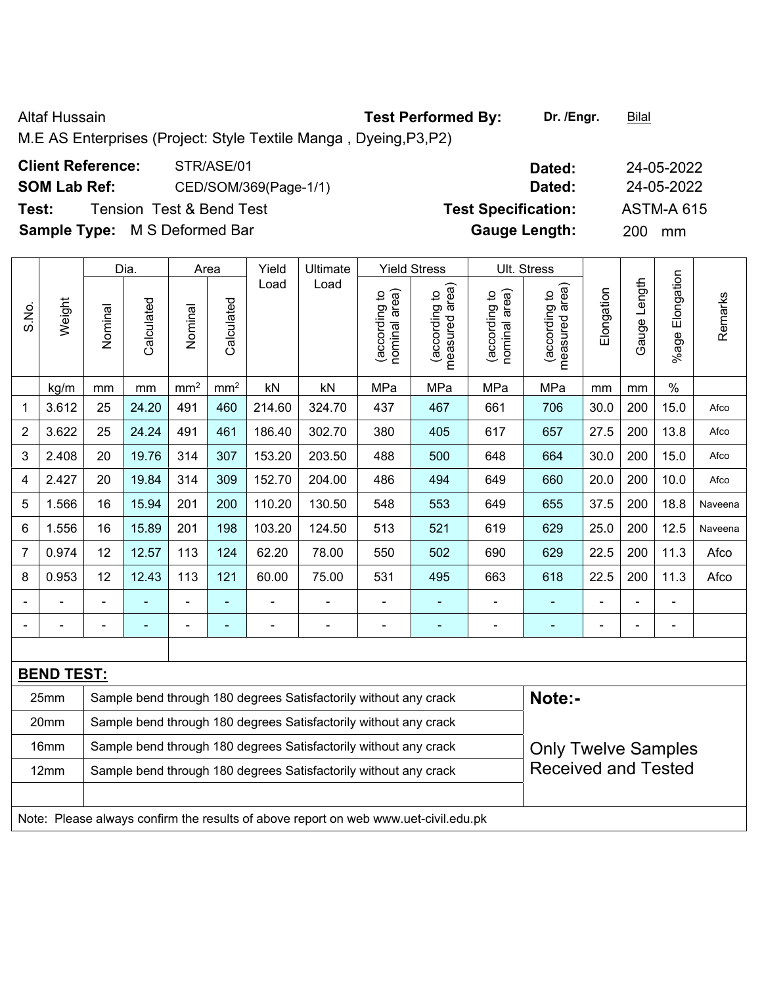Altaf Hussain **Test Performed By:** Dr. /Engr. **Bilal** 

M.E AS Enterprises (Project: Style Textile Manga , Dyeing,P3,P2)

## **Client Reference:** STR/ASE/01 **Dated:** 24-05-2022 **SOM Lab Ref:** CED/SOM/369(Page-1/1) **Dated:** 24-05-2022 **Test:** Tension Test & Bend Test **Test Specification:** ASTM-A 615 **Sample Type:** M S Deformed Bar **Gauge Length:** 200 mm

|                |                   |                | Dia.       |                                                                  | Area            | Yield  | Ultimate                                                         |                                | <b>Yield Stress</b>                |                                | Ult. Stress                     |                            |              |                 |         |  |
|----------------|-------------------|----------------|------------|------------------------------------------------------------------|-----------------|--------|------------------------------------------------------------------|--------------------------------|------------------------------------|--------------------------------|---------------------------------|----------------------------|--------------|-----------------|---------|--|
| S.No.          | Weight            | Nominal        | Calculated | Nominal                                                          | Calculated      | Load   | Load                                                             | nominal area)<br>(according to | area)<br>(according to<br>measured | nominal area)<br>(according to | measured area)<br>(according to | Elongation                 | Gauge Length | %age Elongation | Remarks |  |
|                | kg/m              | mm             | mm         | mm <sup>2</sup>                                                  | mm <sup>2</sup> | kN     | kN                                                               | MPa                            | MPa                                | MPa                            | MPa                             | mm                         | mm           | $\%$            |         |  |
| 1              | 3.612             | 25             | 24.20      | 491                                                              | 460             | 214.60 | 324.70                                                           | 437                            | 467                                | 661                            | 706                             | 30.0                       | 200          | 15.0            | Afco    |  |
| $\overline{2}$ | 3.622             | 25             | 24.24      | 491                                                              | 461             | 186.40 | 302.70                                                           | 380                            | 405                                | 617                            | 657                             | 27.5                       | 200          | 13.8            | Afco    |  |
| 3              | 2.408             | 20             | 19.76      | 314                                                              | 307             | 153.20 | 203.50                                                           | 488                            | 500                                | 648                            | 664                             | 30.0                       | 200          | 15.0            | Afco    |  |
| 4              | 2.427             | 20             | 19.84      | 314                                                              | 309             | 152.70 | 204.00                                                           | 486                            | 494                                | 649                            | 660                             | 20.0                       | 200          | 10.0            | Afco    |  |
| 5              | 1.566             | 16             | 15.94      | 201                                                              | 200             | 110.20 | 130.50                                                           | 548                            | 553                                | 649                            | 655                             | 37.5                       | 200          | 18.8            | Naveena |  |
| 6              | 1.556             | 16             | 15.89      | 201                                                              | 198             | 103.20 | 124.50                                                           | 513                            | 521                                | 619                            | 629                             | 25.0                       | 200          | 12.5            | Naveena |  |
| 7              | 0.974             | 12             | 12.57      | 113                                                              | 124             | 62.20  | 78.00                                                            | 550                            | 502                                | 690                            | 629                             | 22.5                       | 200          | 11.3            | Afco    |  |
| 8              | 0.953             | 12             | 12.43      | 113                                                              | 121             | 60.00  | 75.00                                                            | 531                            | 495                                | 663                            | 618                             | 22.5                       | 200          | 11.3            | Afco    |  |
|                |                   |                | ۰          | $\blacksquare$                                                   |                 |        |                                                                  |                                |                                    | $\blacksquare$                 | ۰                               | $\blacksquare$             |              | $\blacksquare$  |         |  |
| $\blacksquare$ | $\blacksquare$    | $\blacksquare$ | ٠          | $\blacksquare$                                                   | ٠               |        | $\overline{\phantom{a}}$                                         | $\blacksquare$                 | ۰                                  | $\blacksquare$                 | ۰                               | $\overline{\phantom{a}}$   |              | $\blacksquare$  |         |  |
|                |                   |                |            |                                                                  |                 |        |                                                                  |                                |                                    |                                |                                 |                            |              |                 |         |  |
|                | <b>BEND TEST:</b> |                |            |                                                                  |                 |        |                                                                  |                                |                                    |                                |                                 |                            |              |                 |         |  |
|                | 25mm              |                |            | Sample bend through 180 degrees Satisfactorily without any crack |                 | Note:- |                                                                  |                                |                                    |                                |                                 |                            |              |                 |         |  |
|                | 20mm              |                |            |                                                                  |                 |        | Sample bend through 180 degrees Satisfactorily without any crack |                                |                                    |                                |                                 |                            |              |                 |         |  |
|                | 16mm              |                |            |                                                                  |                 |        | Sample bend through 180 degrees Satisfactorily without any crack |                                |                                    |                                |                                 | <b>Only Twelve Samples</b> |              |                 |         |  |
|                | 12mm              |                |            |                                                                  |                 |        | Sample bend through 180 degrees Satisfactorily without any crack |                                |                                    |                                | <b>Received and Tested</b>      |                            |              |                 |         |  |

Note: Please always confirm the results of above report on web www.uet-civil.edu.pk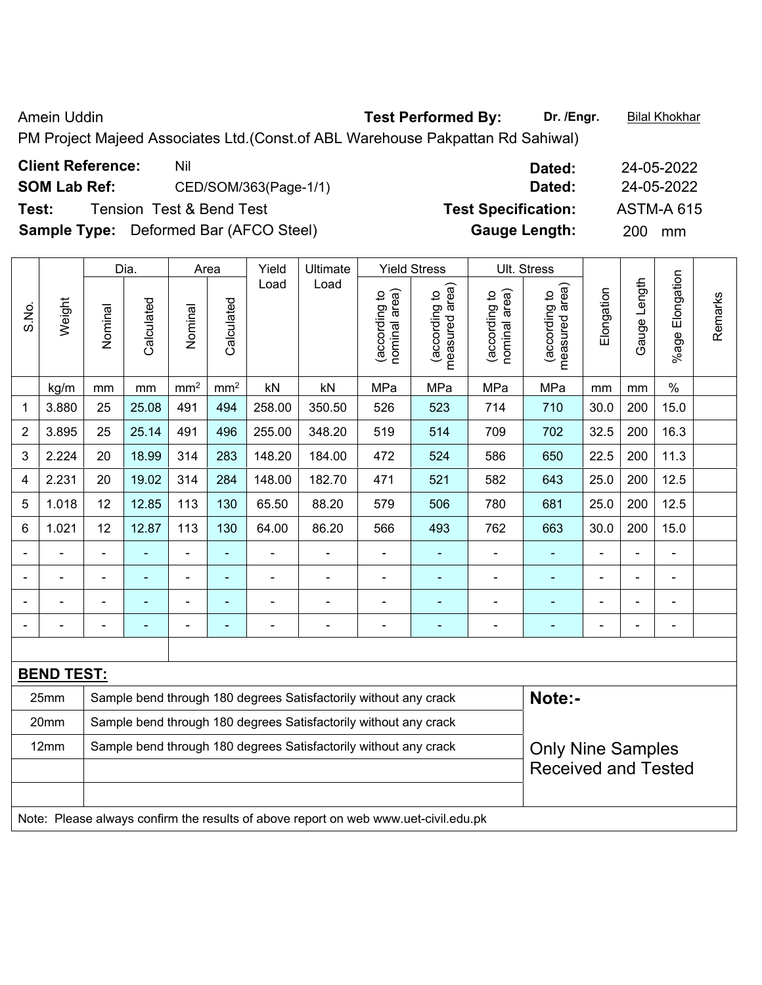Amein Uddin **Test Performed By:** Dr. /Engr. **Bilal Khokhar Company Company Test Performed By:** Dr. /Engr. **Bilal Khokhar** 

PM Project Majeed Associates Ltd.(Const.of ABL Warehouse Pakpattan Rd Sahiwal)

| <b>Client Reference:</b> | Nil                                           | Dated:                     | 24-05-2022        |
|--------------------------|-----------------------------------------------|----------------------------|-------------------|
| <b>SOM Lab Ref:</b>      | CED/SOM/363(Page-1/1)                         | Dated:                     | 24-05-2022        |
| Test:                    | Tension Test & Bend Test                      | <b>Test Specification:</b> | <b>ASTM-A 615</b> |
|                          | <b>Sample Type:</b> Deformed Bar (AFCO Steel) | <b>Gauge Length:</b>       | <b>200</b><br>mm  |

|                |                   |                | Dia.                     |                 | Area            | Yield                                                            | Ultimate                                                         |                                | <b>Yield Stress</b>             |                                | Ult. Stress                     |            |                   |                      |         |
|----------------|-------------------|----------------|--------------------------|-----------------|-----------------|------------------------------------------------------------------|------------------------------------------------------------------|--------------------------------|---------------------------------|--------------------------------|---------------------------------|------------|-------------------|----------------------|---------|
| S.No.          | Weight            | Nominal        | Calculated               | Nominal         | Calculated      | Load                                                             | Load                                                             | nominal area)<br>(according to | measured area)<br>(according to | nominal area)<br>(according to | measured area)<br>(according to | Elongation | Length<br>Gauge I | Elongation<br>%age I | Remarks |
|                | kg/m              | mm             | mm                       | mm <sup>2</sup> | mm <sup>2</sup> | kN                                                               | kN                                                               | MPa                            | MPa                             | MPa                            | MPa                             | mm         | mm                | $\%$                 |         |
| 1              | 3.880             | 25             | 25.08                    | 491             | 494             | 258.00                                                           | 350.50                                                           | 526                            | 523                             | 714                            | 710                             | 30.0       | 200               | 15.0                 |         |
| $\overline{2}$ | 3.895             | 25             | 25.14                    | 491             | 496             | 255.00                                                           | 348.20                                                           | 519                            | 514                             | 709                            | 702                             | 32.5       | 200               | 16.3                 |         |
| 3              | 2.224             | 20             | 18.99                    | 314             | 283             | 148.20                                                           | 184.00                                                           | 472                            | 524                             | 586                            | 650                             | 22.5       | 200               | 11.3                 |         |
| 4              | 2.231             | 20             | 19.02                    | 314             | 284             | 148.00                                                           | 182.70                                                           | 471                            | 521                             | 582                            | 643                             | 25.0       | 200               | 12.5                 |         |
| 5              | 1.018             | 12             | 12.85                    | 113             | 130             | 65.50                                                            | 88.20                                                            | 579                            | 506                             | 780                            | 681                             | 25.0       | 200               | 12.5                 |         |
| 6              | 1.021             | 12             | 12.87                    | 113             | 130             | 64.00                                                            | 86.20                                                            | 566                            | 493                             | 762                            | 663                             | 30.0       | 200               | 15.0                 |         |
|                |                   | $\blacksquare$ | ä,                       | $\frac{1}{2}$   | $\blacksquare$  | ä,                                                               | ä,                                                               | $\blacksquare$                 | ÷,                              | $\blacksquare$                 | ä,                              |            | ä,                | $\blacksquare$       |         |
|                |                   |                | $\blacksquare$           | $\blacksquare$  | $\blacksquare$  |                                                                  |                                                                  | $\blacksquare$                 | $\overline{\phantom{0}}$        |                                | ۰                               |            |                   | $\blacksquare$       |         |
|                |                   |                |                          | $\blacksquare$  | ä,              |                                                                  |                                                                  |                                |                                 |                                |                                 |            | L,                |                      |         |
| $\blacksquare$ |                   |                | $\overline{\phantom{0}}$ | ÷               | $\blacksquare$  | ÷                                                                | ۰                                                                | $\blacksquare$                 | $\blacksquare$                  |                                | $\overline{\phantom{0}}$        | -          |                   | $\blacksquare$       |         |
|                |                   |                |                          |                 |                 |                                                                  |                                                                  |                                |                                 |                                |                                 |            |                   |                      |         |
|                | <b>BEND TEST:</b> |                |                          |                 |                 |                                                                  |                                                                  |                                |                                 |                                |                                 |            |                   |                      |         |
|                | 25mm              |                |                          |                 |                 | Sample bend through 180 degrees Satisfactorily without any crack |                                                                  | Note:-                         |                                 |                                |                                 |            |                   |                      |         |
|                | 20mm              |                |                          |                 |                 |                                                                  | Sample bend through 180 degrees Satisfactorily without any crack |                                |                                 |                                |                                 |            |                   |                      |         |
|                | 12mm              |                |                          |                 |                 |                                                                  | Sample bend through 180 degrees Satisfactorily without any crack |                                |                                 |                                | <b>Only Nine Samples</b>        |            |                   |                      |         |
|                |                   |                |                          |                 |                 |                                                                  |                                                                  |                                |                                 |                                | <b>Received and Tested</b>      |            |                   |                      |         |
|                |                   |                |                          |                 |                 |                                                                  |                                                                  |                                |                                 |                                |                                 |            |                   |                      |         |
|                |                   |                |                          |                 |                 |                                                                  |                                                                  |                                |                                 |                                |                                 |            |                   |                      |         |

Note: Please always confirm the results of above report on web www.uet-civil.edu.pk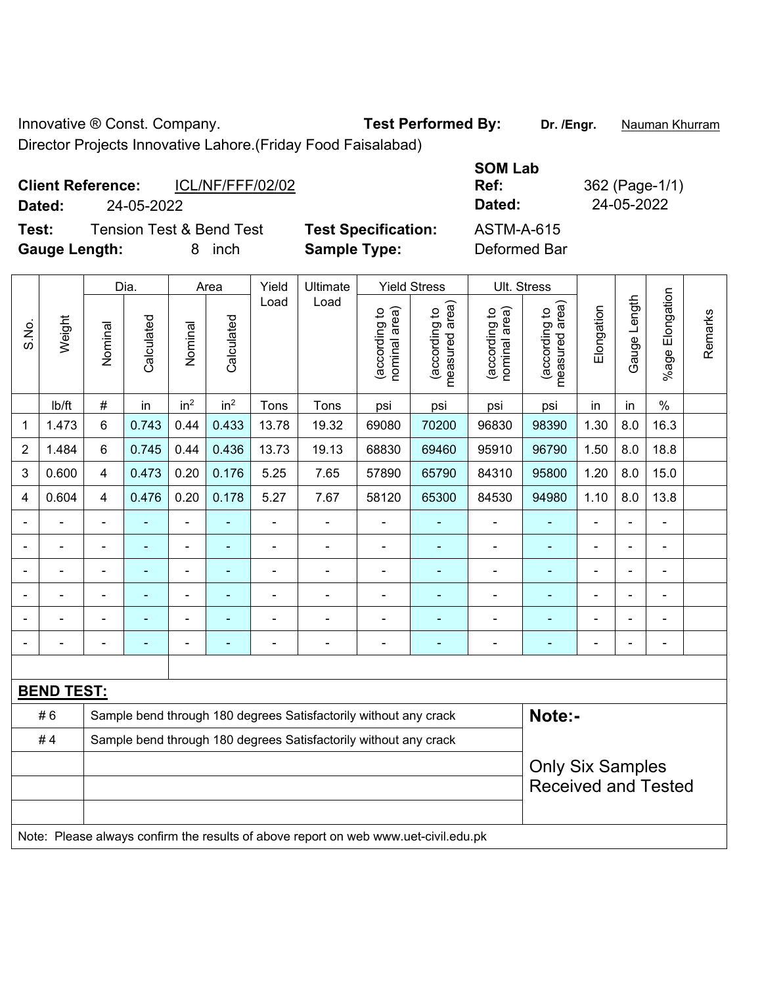Innovative ® Const. Company. **Test Performed By:** Dr. /Engr. **Nauman Khurram** Director Projects Innovative Lahore.(Friday Food Faisalabad)

**Client Reference:** ICL/NF/FFF/02/02

**Test:** Tension Test & Bend Test **Test Specification: Gauge Length:** 8 inch **Sample Type:** Deformed Bar

| Dated:     |
|------------|
| ASTM-A-615 |

**SOM Lab** 

**Ref:** 362 (Page-1/1)

**Dated:** 24-05-2022 **Dated:** 24-05-2022

|                         |                                                                                     | Dia.                    |            |                 | Area            |                | Yield<br>Ultimate                                                |                                | <b>Yield Stress</b>             |                                | Ult. Stress                     |                |              |                       |         |
|-------------------------|-------------------------------------------------------------------------------------|-------------------------|------------|-----------------|-----------------|----------------|------------------------------------------------------------------|--------------------------------|---------------------------------|--------------------------------|---------------------------------|----------------|--------------|-----------------------|---------|
| S.No.                   | Weight                                                                              | Nominal                 | Calculated | Nominal         | Calculated      | Load           | Load                                                             | nominal area)<br>(according to | (according to<br>measured area) | (according to<br>nominal area) | (according to<br>measured area) | Elongation     | Gauge Length | Elongation<br>$%$ age | Remarks |
|                         | lb/ft                                                                               | $\#$                    | in         | in <sup>2</sup> | in <sup>2</sup> | Tons           | Tons                                                             | psi                            | psi                             | psi                            | psi                             | in             | in           | $\frac{0}{0}$         |         |
| 1                       | 1.473                                                                               | $6\phantom{a}$          | 0.743      | 0.44            | 0.433           | 13.78          | 19.32                                                            | 69080                          | 70200                           | 96830                          | 98390                           | 1.30           | 8.0          | 16.3                  |         |
| $\overline{2}$          | 1.484                                                                               | $\,6\,$                 | 0.745      | 0.44            | 0.436           | 13.73          | 19.13                                                            | 68830                          | 69460                           | 95910                          | 96790                           | 1.50           | 8.0          | 18.8                  |         |
| $\mathbf{3}$            | 0.600                                                                               | $\overline{4}$          | 0.473      | 0.20            | 0.176           | 5.25           | 7.65                                                             | 57890                          | 65790                           | 84310                          | 95800                           | 1.20           | 8.0          | 15.0                  |         |
| $\overline{\mathbf{4}}$ | 0.604                                                                               | $\overline{4}$          | 0.476      | 0.20            | 0.178           | 5.27           | 7.67                                                             | 58120                          | 65300                           | 84530                          | 94980                           | 1.10           | 8.0          | 13.8                  |         |
| $\blacksquare$          |                                                                                     | $\blacksquare$          | ÷          | ÷,              | $\blacksquare$  | $\blacksquare$ | $\overline{\phantom{a}}$                                         | $\blacksquare$                 | ٠                               | $\blacksquare$                 | ÷                               | ÷,             |              | $\frac{1}{2}$         |         |
| $\blacksquare$          |                                                                                     |                         | ٠          | ä,              | ۰               | $\blacksquare$ | $\blacksquare$                                                   | $\blacksquare$                 |                                 | $\overline{\phantom{a}}$       | $\blacksquare$                  |                |              | $\blacksquare$        |         |
|                         |                                                                                     |                         |            |                 | ÷               | ÷              |                                                                  | $\blacksquare$                 |                                 | $\blacksquare$                 | $\blacksquare$                  | $\blacksquare$ |              | $\blacksquare$        |         |
|                         |                                                                                     |                         |            |                 |                 |                |                                                                  |                                |                                 |                                |                                 |                |              | $\blacksquare$        |         |
|                         |                                                                                     |                         |            |                 |                 |                |                                                                  |                                |                                 | -                              |                                 |                |              | $\blacksquare$        |         |
|                         |                                                                                     | $\blacksquare$          | ۰          | $\blacksquare$  | ۰               | $\blacksquare$ | $\overline{\phantom{a}}$                                         | $\overline{\phantom{a}}$       | ٠                               | $\overline{\phantom{a}}$       | ٠                               | $\blacksquare$ |              | $\blacksquare$        |         |
|                         |                                                                                     |                         |            |                 |                 |                |                                                                  |                                |                                 |                                |                                 |                |              |                       |         |
|                         | <b>BEND TEST:</b>                                                                   |                         |            |                 |                 |                |                                                                  |                                |                                 |                                |                                 |                |              |                       |         |
|                         | #6                                                                                  |                         |            |                 |                 |                | Sample bend through 180 degrees Satisfactorily without any crack |                                |                                 |                                | Note:-                          |                |              |                       |         |
|                         | #4                                                                                  |                         |            |                 |                 |                | Sample bend through 180 degrees Satisfactorily without any crack |                                |                                 |                                |                                 |                |              |                       |         |
|                         |                                                                                     | <b>Only Six Samples</b> |            |                 |                 |                |                                                                  |                                |                                 |                                |                                 |                |              |                       |         |
|                         |                                                                                     |                         |            |                 |                 |                |                                                                  |                                |                                 |                                | <b>Received and Tested</b>      |                |              |                       |         |
|                         |                                                                                     |                         |            |                 |                 |                |                                                                  |                                |                                 |                                |                                 |                |              |                       |         |
|                         | Note: Please always confirm the results of above report on web www.uet-civil.edu.pk |                         |            |                 |                 |                |                                                                  |                                |                                 |                                |                                 |                |              |                       |         |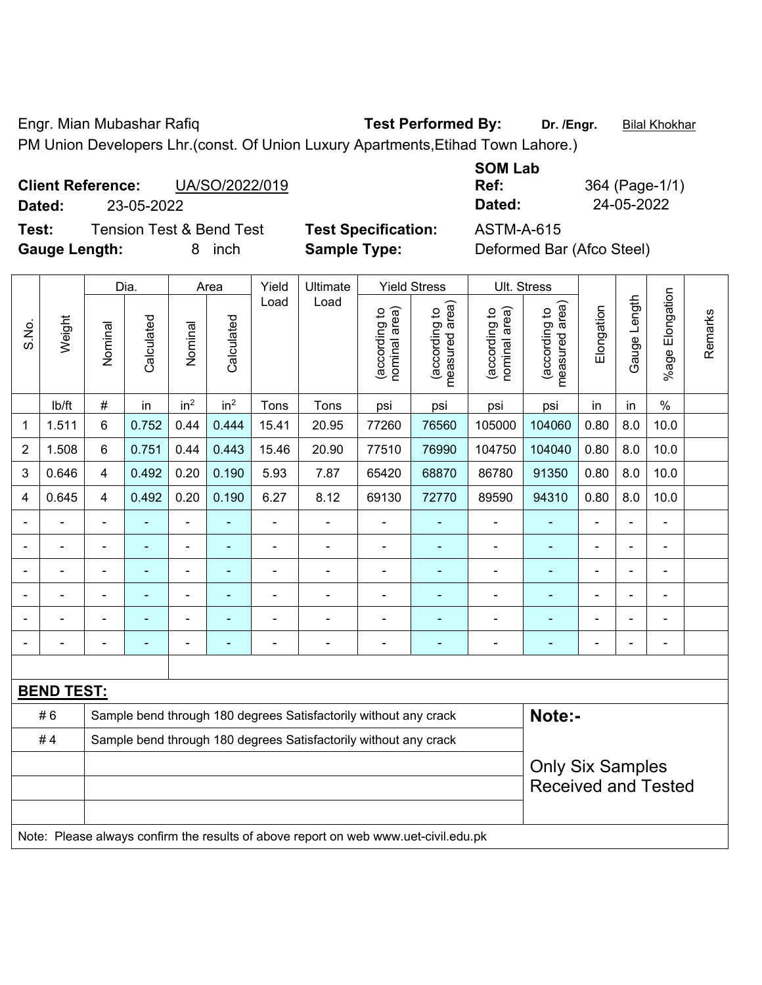Engr. Mian Mubashar Rafiq **Test Performed By:** Dr. /Engr. **Bilal Khokhar** PM Union Developers Lhr.(const. Of Union Luxury Apartments,Etihad Town Lahore.)

## **Client Reference:** UA/SO/2022/019 **Dated:** 23-05-2022 **Dated:** 24-05-2022

**Test:** Tension Test & Bend Test **Test Specification:** ASTM-A-615 **Gauge Length:** 8 inch **Sample Type:** Deformed Bar (Afco Steel)

|         | <b>SOM Lab</b> |
|---------|----------------|
|         | Ref:           |
|         | Dated:         |
| nation: | 8 A RATA       |

**Ref:** 364 (Page-1/1)

|                | Dia.                                                                                |                                                                  | Area<br>Yield | <b>Yield Stress</b><br>Ultimate |                 |                | Ult. Stress                                                      |                                |                                 |                                |                                 |                |                |                              |         |
|----------------|-------------------------------------------------------------------------------------|------------------------------------------------------------------|---------------|---------------------------------|-----------------|----------------|------------------------------------------------------------------|--------------------------------|---------------------------------|--------------------------------|---------------------------------|----------------|----------------|------------------------------|---------|
| S.No.          | Weight                                                                              | Nominal                                                          | Calculated    | Nominal                         | Calculated      | Load           | Load                                                             | nominal area)<br>(according to | measured area)<br>(according to | nominal area)<br>(according to | measured area)<br>(according to | Elongation     | Gauge Length   | Elongation<br>$%$ age I      | Remarks |
|                | lb/ft                                                                               | $\#$                                                             | in            | in <sup>2</sup>                 | in <sup>2</sup> | Tons           | Tons                                                             | psi                            | psi                             | psi                            | psi                             | in             | in             | $\%$                         |         |
| 1              | 1.511                                                                               | 6                                                                | 0.752         | 0.44                            | 0.444           | 15.41          | 20.95                                                            | 77260                          | 76560                           | 105000                         | 104060                          | 0.80           | 8.0            | 10.0                         |         |
| $\overline{2}$ | 1.508                                                                               | 6                                                                | 0.751         | 0.44                            | 0.443           | 15.46          | 20.90                                                            | 77510                          | 76990                           | 104750                         | 104040                          | 0.80           | 8.0            | 10.0                         |         |
| 3              | 0.646                                                                               | 4                                                                | 0.492         | 0.20                            | 0.190           | 5.93           | 7.87                                                             | 65420                          | 68870                           | 86780                          | 91350                           | 0.80           | 8.0            | 10.0                         |         |
| 4              | 0.645                                                                               | 4                                                                | 0.492         | 0.20                            | 0.190           | 6.27           | 8.12                                                             | 69130                          | 72770                           | 89590                          | 94310                           | 0.80           | 8.0            | 10.0                         |         |
|                |                                                                                     | $\blacksquare$                                                   |               | ÷,                              |                 | ÷,             | ÷,                                                               | ä,                             |                                 | $\blacksquare$                 | ÷                               | $\blacksquare$ | ÷,             | $\qquad \qquad \blacksquare$ |         |
|                | $\blacksquare$                                                                      | $\blacksquare$                                                   | ۰             | ÷,                              |                 | $\blacksquare$ | $\blacksquare$                                                   | $\blacksquare$                 | $\blacksquare$                  | $\blacksquare$                 | $\blacksquare$                  | ä,             | ÷,             | $\qquad \qquad \blacksquare$ |         |
|                | $\blacksquare$                                                                      | $\blacksquare$                                                   | ÷,            | ÷,                              |                 | $\blacksquare$ | $\blacksquare$                                                   | L,                             | $\blacksquare$                  | $\overline{\phantom{a}}$       | $\blacksquare$                  | $\blacksquare$ | $\blacksquare$ | $\blacksquare$               |         |
|                |                                                                                     |                                                                  |               | $\blacksquare$                  |                 |                |                                                                  |                                |                                 | ä,                             | $\blacksquare$                  |                | $\blacksquare$ | $\blacksquare$               |         |
|                |                                                                                     |                                                                  |               |                                 |                 |                |                                                                  |                                |                                 |                                | $\blacksquare$                  |                |                |                              |         |
|                |                                                                                     |                                                                  |               | ÷                               |                 |                | $\blacksquare$                                                   | Ē,                             |                                 | ä,                             |                                 | $\blacksquare$ | $\blacksquare$ | $\blacksquare$               |         |
|                |                                                                                     |                                                                  |               |                                 |                 |                |                                                                  |                                |                                 |                                |                                 |                |                |                              |         |
|                | <b>BEND TEST:</b>                                                                   |                                                                  |               |                                 |                 |                |                                                                  |                                |                                 |                                |                                 |                |                |                              |         |
|                | #6                                                                                  |                                                                  |               |                                 |                 |                | Sample bend through 180 degrees Satisfactorily without any crack |                                |                                 |                                | Note:-                          |                |                |                              |         |
|                | #4                                                                                  | Sample bend through 180 degrees Satisfactorily without any crack |               |                                 |                 |                |                                                                  |                                |                                 |                                |                                 |                |                |                              |         |
|                |                                                                                     |                                                                  |               |                                 |                 |                |                                                                  |                                |                                 |                                | <b>Only Six Samples</b>         |                |                |                              |         |
|                |                                                                                     |                                                                  |               |                                 |                 |                |                                                                  |                                |                                 |                                | <b>Received and Tested</b>      |                |                |                              |         |
|                |                                                                                     |                                                                  |               |                                 |                 |                |                                                                  |                                |                                 |                                |                                 |                |                |                              |         |
|                | Note: Please always confirm the results of above report on web www.uet-civil.edu.pk |                                                                  |               |                                 |                 |                |                                                                  |                                |                                 |                                |                                 |                |                |                              |         |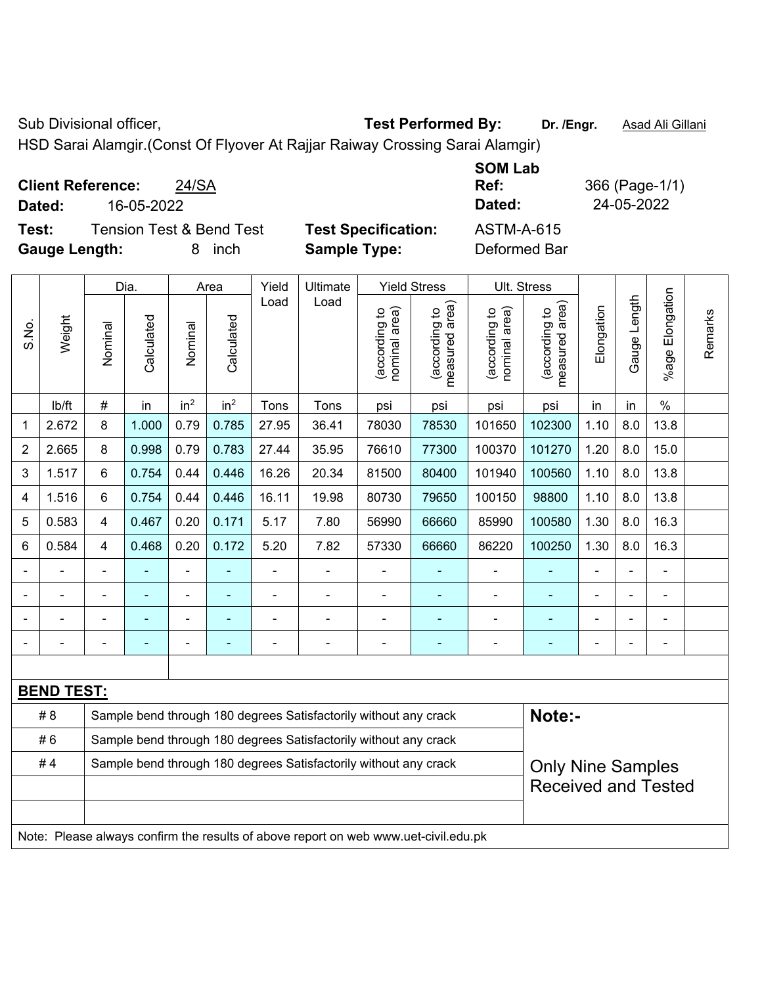Sub Divisional officer, **Test Performed By:** Dr. /Engr. **Asad Ali Gillani** Associated By: Dr. /Engr. **Asad Ali Gillani** 

HSD Sarai Alamgir.(Const Of Flyover At Rajjar Raiway Crossing Sarai Alamgir)

| <b>Client Reference:</b><br>24/SA            |                            | <b>SOM Lab</b><br>Ref: | 366 (Page-1/1) |
|----------------------------------------------|----------------------------|------------------------|----------------|
| 16-05-2022<br>Dated:                         |                            | Dated:                 | 24-05-2022     |
| <b>Tension Test &amp; Bend Test</b><br>Test: | <b>Test Specification:</b> | <b>ASTM-A-615</b>      |                |
| <b>Gauge Length:</b><br>inch                 | <b>Sample Type:</b>        | Deformed Bar           |                |

|                |                                                                                     |                                                                  | Dia.       |                 | Area            | Yield          | Ultimate                                                         |                                | <b>Yield Stress</b>             |                                | Ult. Stress                     |                |              |                       |         |
|----------------|-------------------------------------------------------------------------------------|------------------------------------------------------------------|------------|-----------------|-----------------|----------------|------------------------------------------------------------------|--------------------------------|---------------------------------|--------------------------------|---------------------------------|----------------|--------------|-----------------------|---------|
| S.No.          | Weight                                                                              | Nominal                                                          | Calculated | Nominal         | Calculated      | Load           | Load                                                             | nominal area)<br>(according to | (according to<br>measured area) | nominal area)<br>(according to | (according to<br>measured area) | Elongation     | Gauge Length | Elongation<br>$%$ age | Remarks |
|                | lb/ft                                                                               | #                                                                | in         | in <sup>2</sup> | in <sup>2</sup> | Tons           | Tons                                                             | psi                            | psi                             | psi                            | psi                             | in             | in           | $\%$                  |         |
| 1              | 2.672                                                                               | 8                                                                | 1.000      | 0.79            | 0.785           | 27.95          | 36.41                                                            | 78030                          | 78530                           | 101650                         | 102300                          | 1.10           | 8.0          | 13.8                  |         |
| 2              | 2.665                                                                               | 8                                                                | 0.998      | 0.79            | 0.783           | 27.44          | 35.95                                                            | 76610                          | 77300                           | 100370                         | 101270                          | 1.20           | 8.0          | 15.0                  |         |
| 3              | 1.517                                                                               | 6                                                                | 0.754      | 0.44            | 0.446           | 16.26          | 20.34                                                            | 81500                          | 80400                           | 101940                         | 100560                          | 1.10           | 8.0          | 13.8                  |         |
| 4              | 1.516                                                                               | 6                                                                | 0.754      | 0.44            | 0.446           | 16.11          | 19.98                                                            | 80730                          | 79650                           | 100150                         | 98800                           | 1.10           | 8.0          | 13.8                  |         |
| 5              | 0.583                                                                               | $\overline{\mathbf{4}}$                                          | 0.467      | 0.20            | 0.171           | 5.17           | 7.80                                                             | 56990                          | 66660                           | 85990                          | 100580                          | 1.30           | 8.0          | 16.3                  |         |
| $6\phantom{1}$ | 0.584                                                                               | $\overline{4}$                                                   | 0.468      | 0.20            | 0.172           | 5.20           | 7.82                                                             | 57330                          | 66660                           | 86220                          | 100250                          | 1.30           | 8.0          | 16.3                  |         |
|                |                                                                                     |                                                                  |            | ÷,              |                 |                |                                                                  | $\blacksquare$                 |                                 |                                |                                 |                |              |                       |         |
|                |                                                                                     |                                                                  |            |                 |                 |                | $\blacksquare$                                                   | $\blacksquare$                 |                                 |                                |                                 |                |              |                       |         |
|                |                                                                                     |                                                                  |            | -               |                 |                |                                                                  | -                              |                                 |                                |                                 |                |              | $\blacksquare$        |         |
|                |                                                                                     | $\blacksquare$                                                   |            |                 | ۰               | $\blacksquare$ | $\blacksquare$                                                   | -                              | ٠                               | $\blacksquare$                 | $\overline{a}$                  | $\blacksquare$ |              | $\blacksquare$        |         |
|                |                                                                                     |                                                                  |            |                 |                 |                |                                                                  |                                |                                 |                                |                                 |                |              |                       |         |
|                | <b>BEND TEST:</b>                                                                   |                                                                  |            |                 |                 |                |                                                                  |                                |                                 |                                |                                 |                |              |                       |         |
|                | # 8                                                                                 |                                                                  |            |                 |                 |                | Sample bend through 180 degrees Satisfactorily without any crack |                                |                                 |                                | Note:-                          |                |              |                       |         |
|                | #6                                                                                  | Sample bend through 180 degrees Satisfactorily without any crack |            |                 |                 |                |                                                                  |                                |                                 |                                |                                 |                |              |                       |         |
|                | #4                                                                                  |                                                                  |            |                 |                 |                | Sample bend through 180 degrees Satisfactorily without any crack |                                |                                 |                                | <b>Only Nine Samples</b>        |                |              |                       |         |
|                |                                                                                     |                                                                  |            |                 |                 |                |                                                                  |                                |                                 |                                | <b>Received and Tested</b>      |                |              |                       |         |
|                |                                                                                     |                                                                  |            |                 |                 |                |                                                                  |                                |                                 |                                |                                 |                |              |                       |         |
|                | Note: Please always confirm the results of above report on web www.uet-civil.edu.pk |                                                                  |            |                 |                 |                |                                                                  |                                |                                 |                                |                                 |                |              |                       |         |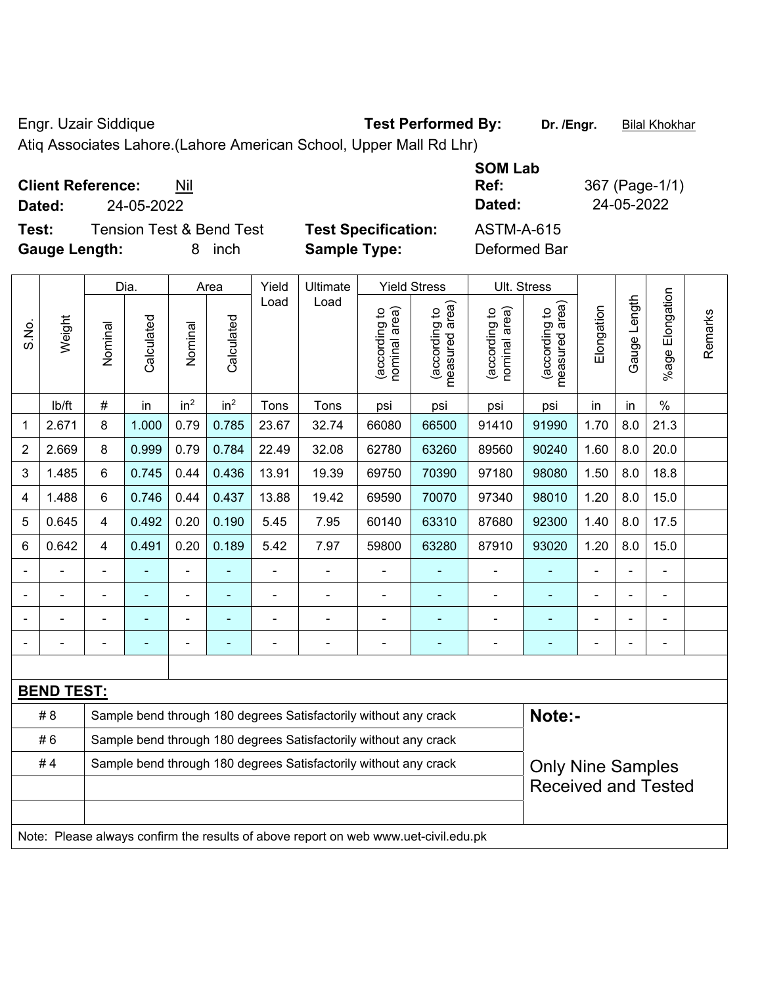Engr. Uzair Siddique **Test Performed By:** Dr. /Engr. **Bilal Khokhar** 

Atiq Associates Lahore.(Lahore American School, Upper Mall Rd Lhr)

| <b>Client Reference:</b><br>Nil<br>24-05-2022<br>Dated:                           |                                                   | <b>SOM Lab</b><br>Ref:<br>Dated:  | 367 (Page-1/1)<br>24-05-2022 |
|-----------------------------------------------------------------------------------|---------------------------------------------------|-----------------------------------|------------------------------|
| <b>Tension Test &amp; Bend Test</b><br>Test:<br><b>Gauge Length:</b><br>inch<br>8 | <b>Test Specification:</b><br><b>Sample Type:</b> | <b>ASTM-A-615</b><br>Deformed Bar |                              |

|                |                                                                                     |                                                                  | Dia.       |                          | Area            | Yield | Ultimate                                                         |                                | <b>Yield Stress</b>             |                                | Ult. Stress                                 |            |              |                         |         |
|----------------|-------------------------------------------------------------------------------------|------------------------------------------------------------------|------------|--------------------------|-----------------|-------|------------------------------------------------------------------|--------------------------------|---------------------------------|--------------------------------|---------------------------------------------|------------|--------------|-------------------------|---------|
| S.No.          | Weight                                                                              | Nominal                                                          | Calculated | Nominal                  | Calculated      | Load  | Load                                                             | nominal area)<br>(according to | measured area)<br>(according to | nominal area)<br>(according to | (according to<br>neasured area)<br>measured | Elongation | Gauge Length | Elongation<br>$%$ age I | Remarks |
|                | lb/ft                                                                               | #                                                                | in         | in <sup>2</sup>          | in <sup>2</sup> | Tons  | Tons                                                             | psi                            | psi                             | psi                            | psi                                         | in         | in           | $\frac{0}{0}$           |         |
| 1              | 2.671                                                                               | 8                                                                | 1.000      | 0.79                     | 0.785           | 23.67 | 32.74                                                            | 66080                          | 66500                           | 91410                          | 91990                                       | 1.70       | 8.0          | 21.3                    |         |
| $\overline{2}$ | 2.669                                                                               | 8                                                                | 0.999      | 0.79                     | 0.784           | 22.49 | 32.08                                                            | 62780                          | 63260                           | 89560                          | 90240                                       | 1.60       | 8.0          | 20.0                    |         |
| 3              | 1.485                                                                               | 6                                                                | 0.745      | 0.44                     | 0.436           | 13.91 | 19.39                                                            | 69750                          | 70390                           | 97180                          | 98080                                       | 1.50       | 8.0          | 18.8                    |         |
| 4              | 1.488                                                                               | 6                                                                | 0.746      | 0.44                     | 0.437           | 13.88 | 19.42                                                            | 69590                          | 70070                           | 97340                          | 98010                                       | 1.20       | 8.0          | 15.0                    |         |
| 5              | 0.645                                                                               | 4                                                                | 0.492      | 0.20                     | 0.190           | 5.45  | 7.95                                                             | 60140                          | 63310                           | 87680                          | 92300                                       | 1.40       | 8.0          | 17.5                    |         |
| 6              | 0.642                                                                               | 4                                                                | 0.491      | 0.20                     | 0.189           | 5.42  | 7.97                                                             | 59800                          | 63280                           | 87910                          | 93020                                       | 1.20       | 8.0          | 15.0                    |         |
|                |                                                                                     |                                                                  |            |                          |                 |       | ÷                                                                |                                |                                 |                                |                                             |            |              |                         |         |
|                |                                                                                     |                                                                  |            |                          |                 |       |                                                                  |                                |                                 |                                |                                             |            |              |                         |         |
|                |                                                                                     |                                                                  |            | $\overline{\phantom{0}}$ |                 |       |                                                                  |                                |                                 |                                |                                             |            |              |                         |         |
| $\blacksquare$ |                                                                                     |                                                                  |            | $\blacksquare$           |                 |       | Ē,                                                               |                                |                                 | $\blacksquare$                 |                                             | Ē,         |              | $\blacksquare$          |         |
|                |                                                                                     |                                                                  |            |                          |                 |       |                                                                  |                                |                                 |                                |                                             |            |              |                         |         |
|                | <b>BEND TEST:</b>                                                                   |                                                                  |            |                          |                 |       |                                                                  |                                |                                 |                                |                                             |            |              |                         |         |
|                | #8                                                                                  |                                                                  |            |                          |                 |       | Sample bend through 180 degrees Satisfactorily without any crack |                                |                                 |                                | Note:-                                      |            |              |                         |         |
|                | #6                                                                                  | Sample bend through 180 degrees Satisfactorily without any crack |            |                          |                 |       |                                                                  |                                |                                 |                                |                                             |            |              |                         |         |
|                | #4                                                                                  |                                                                  |            |                          |                 |       | Sample bend through 180 degrees Satisfactorily without any crack |                                |                                 |                                | <b>Only Nine Samples</b>                    |            |              |                         |         |
|                |                                                                                     |                                                                  |            |                          |                 |       |                                                                  |                                |                                 |                                | <b>Received and Tested</b>                  |            |              |                         |         |
|                |                                                                                     |                                                                  |            |                          |                 |       |                                                                  |                                |                                 |                                |                                             |            |              |                         |         |
|                | Note: Please always confirm the results of above report on web www.uet-civil.edu.pk |                                                                  |            |                          |                 |       |                                                                  |                                |                                 |                                |                                             |            |              |                         |         |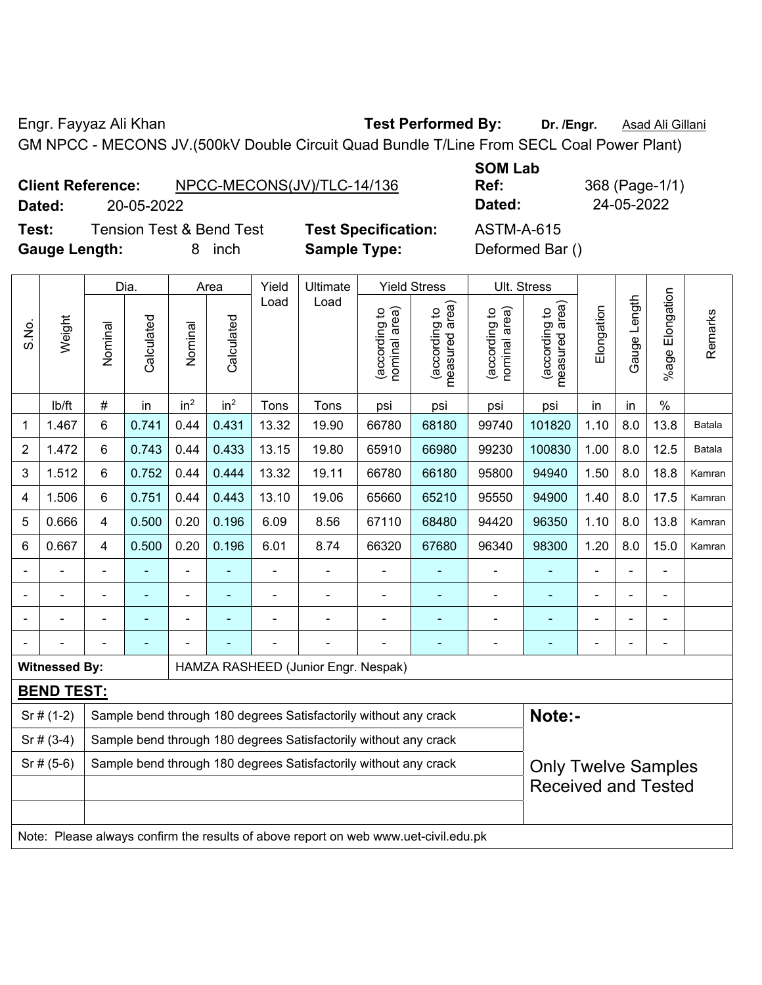Engr. Fayyaz Ali Khan **Test Performed By: Dr. /Engr.** Asad Ali Gillani GM NPCC - MECONS JV.(500kV Double Circuit Quad Bundle T/Line From SECL Coal Power Plant)

|        | <b>Client Reference:</b>            | NPCC-MECONS(JV)/TLC-14/136 | UVIII LUM<br>Ref: |
|--------|-------------------------------------|----------------------------|-------------------|
| Dated: | 20-05-2022                          |                            | Dated:            |
| Test:  | <b>Tension Test &amp; Bend Test</b> | <b>Test Specification:</b> | ASTM-A-615        |

**Gauge Length:** 8 inch **Sample Type:** Deformed Bar ()

**SOM Lab Ref:** 368 (Page-1/1) **Dated:** 20-05-2022 **Dated:** 24-05-2022

| S.No.          | Weight                                                                              | Dia.                                                             |                | Area            |                 | Yield          | Ultimate                            |                                | <b>Yield Stress</b>                         |                                | Ult. Stress                     |                |                |                       |               |  |  |
|----------------|-------------------------------------------------------------------------------------|------------------------------------------------------------------|----------------|-----------------|-----------------|----------------|-------------------------------------|--------------------------------|---------------------------------------------|--------------------------------|---------------------------------|----------------|----------------|-----------------------|---------------|--|--|
|                |                                                                                     | Nominal                                                          | Calculated     | Nominal         | Calculated      | Load           | Load                                | nominal area)<br>(according to | (according to<br>neasured area)<br>measured | nominal area)<br>(according to | measured area)<br>(according to | Elongation     | Gauge Length   | Elongation<br>$%$ age | Remarks       |  |  |
|                | lb/ft                                                                               | $\#$                                                             | in             | in <sup>2</sup> | in <sup>2</sup> | Tons           | Tons                                | psi                            | psi                                         | psi                            | psi                             | in             | in             | $\%$                  |               |  |  |
| 1              | 1.467                                                                               | 6                                                                | 0.741          | 0.44            | 0.431           | 13.32          | 19.90                               | 66780                          | 68180                                       | 99740                          | 101820                          | 1.10           | 8.0            | 13.8                  | <b>Batala</b> |  |  |
| $\overline{2}$ | 1.472                                                                               | 6                                                                | 0.743          | 0.44            | 0.433           | 13.15          | 19.80                               | 65910                          | 66980                                       | 99230                          | 100830                          | 1.00           | 8.0            | 12.5                  | Batala        |  |  |
| 3              | 1.512                                                                               | 6                                                                | 0.752          | 0.44            | 0.444           | 13.32          | 19.11                               | 66780                          | 66180                                       | 95800                          | 94940                           | 1.50           | 8.0            | 18.8                  | Kamran        |  |  |
| 4              | 1.506                                                                               | 6                                                                | 0.751          | 0.44            | 0.443           | 13.10          | 19.06                               | 65660                          | 65210                                       | 95550                          | 94900                           | 1.40           | 8.0            | 17.5                  | Kamran        |  |  |
| 5              | 0.666                                                                               | $\overline{4}$                                                   | 0.500          | 0.20            | 0.196           | 6.09           | 8.56                                | 67110                          | 68480                                       | 94420                          | 96350                           | 1.10           | 8.0            | 13.8                  | Kamran        |  |  |
| 6              | 0.667                                                                               | $\overline{4}$                                                   | 0.500          | 0.20            | 0.196           | 6.01           | 8.74                                | 66320                          | 67680                                       | 96340                          | 98300                           | 1.20           | 8.0            | 15.0                  | Kamran        |  |  |
|                |                                                                                     |                                                                  |                | $\blacksquare$  |                 | $\blacksquare$ | $\blacksquare$                      |                                |                                             | $\blacksquare$                 | $\blacksquare$                  | ÷,             |                | $\blacksquare$        |               |  |  |
| $\blacksquare$ |                                                                                     | $\blacksquare$                                                   | $\blacksquare$ | ۰               | $\blacksquare$  | Ē,             | $\frac{1}{2}$                       | $\blacksquare$                 | $\blacksquare$                              | $\blacksquare$                 | $\blacksquare$                  | $\blacksquare$ | ä,             | ÷                     |               |  |  |
|                |                                                                                     | $\blacksquare$                                                   | $\blacksquare$ | ۰               |                 |                | $\blacksquare$                      | $\blacksquare$                 |                                             | -                              | $\blacksquare$                  | ä,             | $\blacksquare$ | ÷                     |               |  |  |
|                |                                                                                     | $\blacksquare$                                                   | ٠              |                 |                 |                | $\frac{1}{2}$                       |                                | $\overline{\phantom{0}}$                    | -                              | $\blacksquare$                  | -              | $\blacksquare$ | ÷                     |               |  |  |
|                | <b>Witnessed By:</b>                                                                |                                                                  |                |                 |                 |                | HAMZA RASHEED (Junior Engr. Nespak) |                                |                                             |                                |                                 |                |                |                       |               |  |  |
|                | <b>BEND TEST:</b>                                                                   |                                                                  |                |                 |                 |                |                                     |                                |                                             |                                |                                 |                |                |                       |               |  |  |
|                | $Sr$ # (1-2)<br>Sample bend through 180 degrees Satisfactorily without any crack    |                                                                  |                |                 |                 |                |                                     |                                |                                             |                                | Note:-                          |                |                |                       |               |  |  |
|                | $Sr# (3-4)$                                                                         | Sample bend through 180 degrees Satisfactorily without any crack |                |                 |                 |                |                                     |                                |                                             |                                |                                 |                |                |                       |               |  |  |
|                | $Sr$ # (5-6)                                                                        | Sample bend through 180 degrees Satisfactorily without any crack |                |                 |                 |                |                                     |                                |                                             |                                | <b>Only Twelve Samples</b>      |                |                |                       |               |  |  |
|                |                                                                                     |                                                                  |                |                 |                 |                |                                     |                                |                                             |                                | <b>Received and Tested</b>      |                |                |                       |               |  |  |
|                |                                                                                     |                                                                  |                |                 |                 |                |                                     |                                |                                             |                                |                                 |                |                |                       |               |  |  |
|                | Note: Please always confirm the results of above report on web www.uet-civil.edu.pk |                                                                  |                |                 |                 |                |                                     |                                |                                             |                                |                                 |                |                |                       |               |  |  |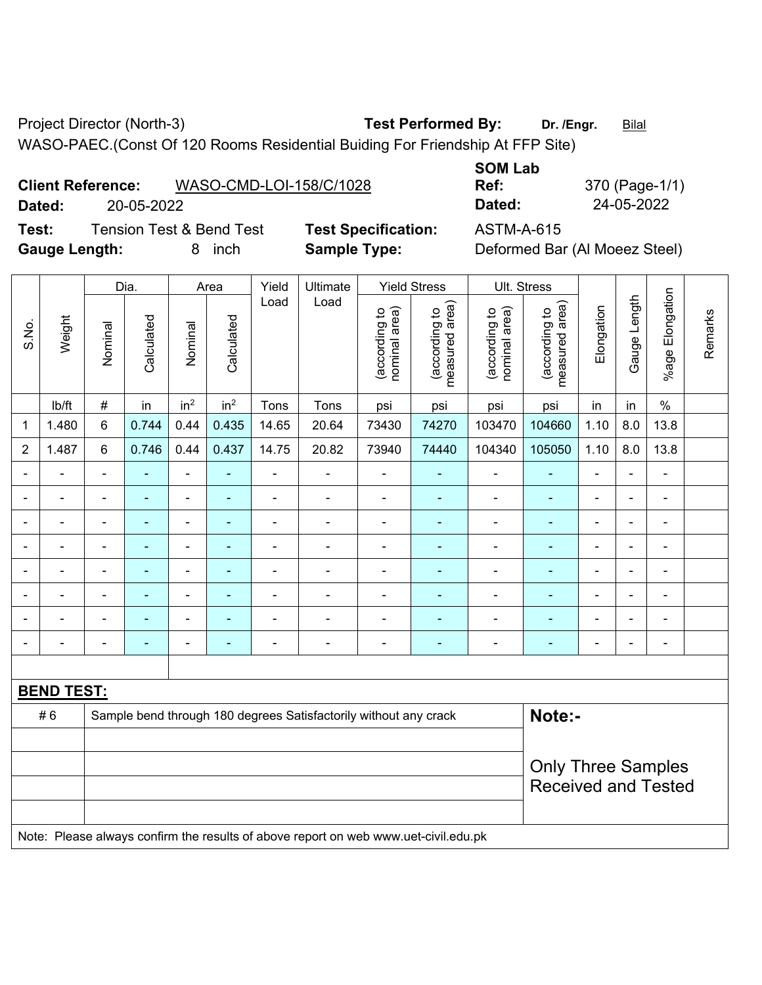Project Director (North-3) **Test Performed By:** Dr. /Engr. **Bilal** 

WASO-PAEC.(Const Of 120 Rooms Residential Buiding For Friendship At FFP Site)

**Test:** Tension Test & Bend Test **Test Specification:** ASTM-A-615 **Gauge Length:** 8 inch **Sample Type:** Deformed Bar (Al Moeez Steel)

**SOM Lab Ref:** 370 (Page-1/1) **Dated:** 20-05-2022 **Dated:** 24-05-2022

|                | Weight            |                | Dia.           | Area                         |                 | Yield          | Ultimate                                                                            | <b>Yield Stress</b>            |                                 | Ult. Stress                    |                                 |                |                |                         |         |
|----------------|-------------------|----------------|----------------|------------------------------|-----------------|----------------|-------------------------------------------------------------------------------------|--------------------------------|---------------------------------|--------------------------------|---------------------------------|----------------|----------------|-------------------------|---------|
| S.No.          |                   | Nominal        | Calculated     | Nominal                      | Calculated      | Load           | Load                                                                                | nominal area)<br>(according to | (according to<br>measured area) | (according to<br>nominal area) | (according to<br>measured area) | Elongation     | Gauge Length   | Elongation<br>$%$ age I | Remarks |
|                | lb/ft             | $\#$           | in             | in <sup>2</sup>              | in <sup>2</sup> | Tons           | Tons                                                                                | psi                            | psi                             | psi                            | psi                             | in             | in             | $\%$                    |         |
| 1              | 1.480             | 6              | 0.744          | 0.44                         | 0.435           | 14.65          | 20.64                                                                               | 73430                          | 74270                           | 103470                         | 104660                          | 1.10           | 8.0            | 13.8                    |         |
| $\overline{2}$ | 1.487             | $\,6\,$        | 0.746          | 0.44                         | 0.437           | 14.75          | 20.82                                                                               | 73940                          | 74440                           | 104340                         | 105050                          | 1.10           | 8.0            | 13.8                    |         |
|                | ä,                | $\blacksquare$ | Ē,             | $\frac{1}{2}$                | ٠               | $\blacksquare$ | ä,                                                                                  | $\blacksquare$                 | $\blacksquare$                  | $\blacksquare$                 | $\blacksquare$                  | ä,             | $\blacksquare$ | $\blacksquare$          |         |
|                | $\blacksquare$    |                | Ē,             | $\qquad \qquad \blacksquare$ | $\blacksquare$  | $\blacksquare$ | $\blacksquare$                                                                      | $\blacksquare$                 | $\overline{\phantom{a}}$        | $\overline{\phantom{a}}$       | $\blacksquare$                  | $\blacksquare$ | $\blacksquare$ | $\blacksquare$          |         |
|                | $\blacksquare$    | $\blacksquare$ | $\blacksquare$ | $\frac{1}{2}$                | ۰               | L,             | ÷,                                                                                  | $\blacksquare$                 | $\blacksquare$                  | $\blacksquare$                 | Ξ                               | ä,             | $\blacksquare$ | $\blacksquare$          |         |
|                |                   |                |                | -                            | ۰               | ä,             | $\blacksquare$                                                                      |                                |                                 | ä,                             | ÷                               |                |                | ÷                       |         |
|                |                   |                |                | $\blacksquare$               |                 | $\blacksquare$ | $\blacksquare$                                                                      |                                |                                 | $\blacksquare$                 | ۰                               |                |                |                         |         |
|                |                   |                |                | ä,                           | ÷               | ä,             | $\blacksquare$                                                                      | Ē,                             |                                 | -                              | ۰                               |                |                | ÷                       |         |
|                |                   |                |                | ۰                            | ۰               | $\blacksquare$ | $\blacksquare$                                                                      |                                |                                 | $\blacksquare$                 | ۰                               | $\blacksquare$ |                | ÷                       |         |
|                |                   |                | ٠              | ÷,                           | ۰               | $\blacksquare$ | $\blacksquare$                                                                      | $\blacksquare$                 | $\blacksquare$                  | $\overline{\phantom{a}}$       | ۰                               | $\blacksquare$ | $\blacksquare$ | $\blacksquare$          |         |
|                |                   |                |                |                              |                 |                |                                                                                     |                                |                                 |                                |                                 |                |                |                         |         |
|                | <b>BEND TEST:</b> |                |                |                              |                 |                |                                                                                     |                                |                                 |                                |                                 |                |                |                         |         |
|                | #6                |                |                |                              |                 |                | Sample bend through 180 degrees Satisfactorily without any crack                    |                                | Note:-                          |                                |                                 |                |                |                         |         |
|                |                   |                |                |                              |                 |                |                                                                                     |                                |                                 |                                |                                 |                |                |                         |         |
|                |                   |                |                |                              |                 |                |                                                                                     |                                |                                 |                                | <b>Only Three Samples</b>       |                |                |                         |         |
|                |                   |                |                |                              |                 |                |                                                                                     |                                |                                 | <b>Received and Tested</b>     |                                 |                |                |                         |         |
|                |                   |                |                |                              |                 |                |                                                                                     |                                |                                 |                                |                                 |                |                |                         |         |
|                |                   |                |                |                              |                 |                | Note: Please always confirm the results of above report on web www.uet-civil.edu.pk |                                |                                 |                                |                                 |                |                |                         |         |